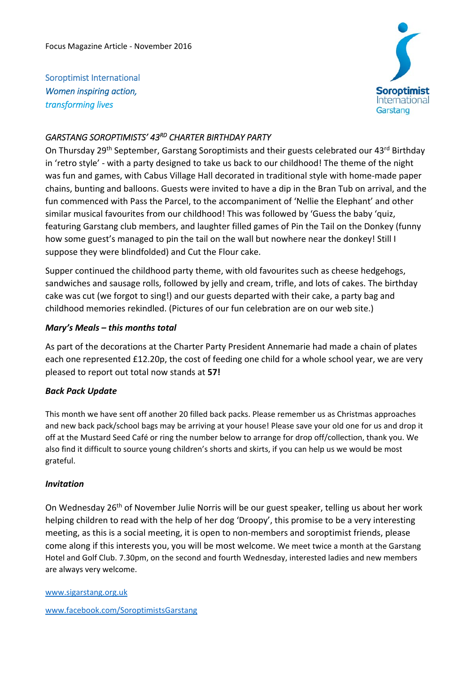Soroptimist International *Women inspiring action, transforming lives*



## *GARSTANG SOROPTIMISTS' 43RD CHARTER BIRTHDAY PARTY*

On Thursday 29<sup>th</sup> September, Garstang Soroptimists and their guests celebrated our 43<sup>rd</sup> Birthday in 'retro style' ‐ with a party designed to take us back to our childhood! The theme of the night was fun and games, with Cabus Village Hall decorated in traditional style with home-made paper chains, bunting and balloons. Guests were invited to have a dip in the Bran Tub on arrival, and the fun commenced with Pass the Parcel, to the accompaniment of 'Nellie the Elephant' and other similar musical favourites from our childhood! This was followed by 'Guess the baby 'quiz, featuring Garstang club members, and laughter filled games of Pin the Tail on the Donkey (funny how some guest's managed to pin the tail on the wall but nowhere near the donkey! Still I suppose they were blindfolded) and Cut the Flour cake.

Supper continued the childhood party theme, with old favourites such as cheese hedgehogs, sandwiches and sausage rolls, followed by jelly and cream, trifle, and lots of cakes. The birthday cake was cut (we forgot to sing!) and our guests departed with their cake, a party bag and childhood memories rekindled. (Pictures of our fun celebration are on our web site.)

## *Mary's Meals – this months total*

As part of the decorations at the Charter Party President Annemarie had made a chain of plates each one represented £12.20p, the cost of feeding one child for a whole school year, we are very pleased to report out total now stands at **57!** 

## *Back Pack Update*

This month we have sent off another 20 filled back packs. Please remember us as Christmas approaches and new back pack/school bags may be arriving at your house! Please save your old one for us and drop it off at the Mustard Seed Café or ring the number below to arrange for drop off/collection, thank you. We also find it difficult to source young children's shorts and skirts, if you can help us we would be most grateful.

## *Invitation*

On Wednesday 26<sup>th</sup> of November Julie Norris will be our guest speaker, telling us about her work helping children to read with the help of her dog 'Droopy', this promise to be a very interesting meeting, as this is a social meeting, it is open to non‐members and soroptimist friends, please come along if this interests you, you will be most welcome. We meet twice a month at the Garstang Hotel and Golf Club. 7.30pm, on the second and fourth Wednesday, interested ladies and new members are always very welcome.

www.sigarstang.org.uk